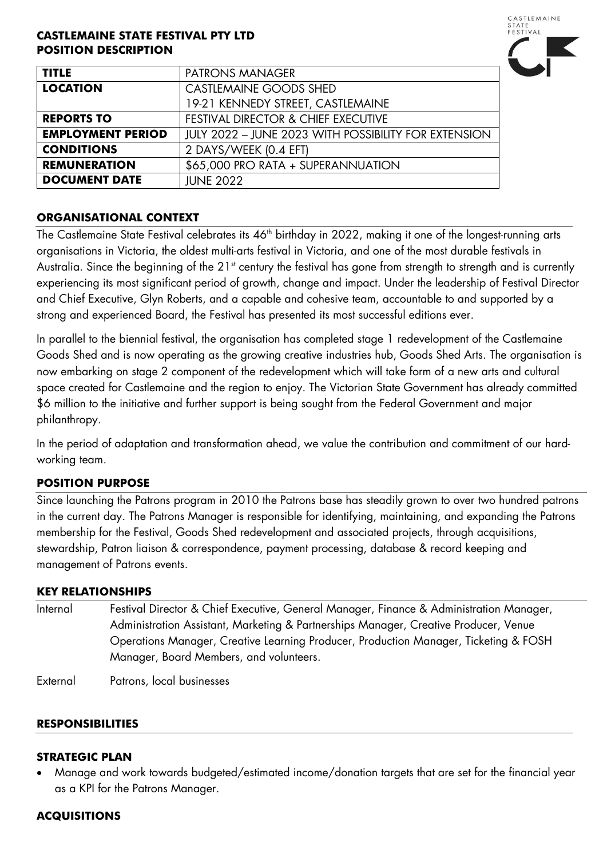#### **CASTLEMAINE STATE FESTIVAL PTY LTD POSITION DESCRIPTION**



| <b>TITLE</b>             | <b>PATRONS MANAGER</b>                               |
|--------------------------|------------------------------------------------------|
| <b>LOCATION</b>          | <b>CASTLEMAINE GOODS SHED</b>                        |
|                          | 19-21 KENNEDY STREET, CASTLEMAINE                    |
| <b>REPORTS TO</b>        | <b>FESTIVAL DIRECTOR &amp; CHIEF EXECUTIVE</b>       |
| <b>EMPLOYMENT PERIOD</b> | JULY 2022 - JUNE 2023 WITH POSSIBILITY FOR EXTENSION |
| <b>CONDITIONS</b>        | 2 DAYS/WEEK (0.4 EFT)                                |
| <b>REMUNERATION</b>      | \$65,000 PRO RATA + SUPERANNUATION                   |
| <b>DOCUMENT DATE</b>     | <b>JUNE 2022</b>                                     |

#### **ORGANISATIONAL CONTEXT**

The Castlemaine State Festival celebrates its 46<sup>th</sup> birthday in 2022, making it one of the longest-running arts organisations in Victoria, the oldest multi-arts festival in Victoria, and one of the most durable festivals in Australia. Since the beginning of the 21<sup>st</sup> century the festival has gone from strength to strength and is currently experiencing its most significant period of growth, change and impact. Under the leadership of Festival Director and Chief Executive, Glyn Roberts, and a capable and cohesive team, accountable to and supported by a strong and experienced Board, the Festival has presented its most successful editions ever.

In parallel to the biennial festival, the organisation has completed stage 1 redevelopment of the Castlemaine Goods Shed and is now operating as the growing creative industries hub, Goods Shed Arts. The organisation is now embarking on stage 2 component of the redevelopment which will take form of a new arts and cultural space created for Castlemaine and the region to enjoy. The Victorian State Government has already committed \$6 million to the initiative and further support is being sought from the Federal Government and major philanthropy.

In the period of adaptation and transformation ahead, we value the contribution and commitment of our hardworking team.

# **POSITION PURPOSE**

Since launching the Patrons program in 2010 the Patrons base has steadily grown to over two hundred patrons in the current day. The Patrons Manager is responsible for identifying, maintaining, and expanding the Patrons membership for the Festival, Goods Shed redevelopment and associated projects, through acquisitions, stewardship, Patron liaison & correspondence, payment processing, database & record keeping and management of Patrons events.

#### **KEY RELATIONSHIPS**

Internal Festival Director & Chief Executive, General Manager, Finance & Administration Manager, Administration Assistant, Marketing & Partnerships Manager, Creative Producer, Venue Operations Manager, Creative Learning Producer, Production Manager, Ticketing & FOSH Manager, Board Members, and volunteers.

External Patrons, local businesses

#### **RESPONSIBILITIES**

#### **STRATEGIC PLAN**

• Manage and work towards budgeted/estimated income/donation targets that are set for the financial year as a KPI for the Patrons Manager.

#### **ACQUISITIONS**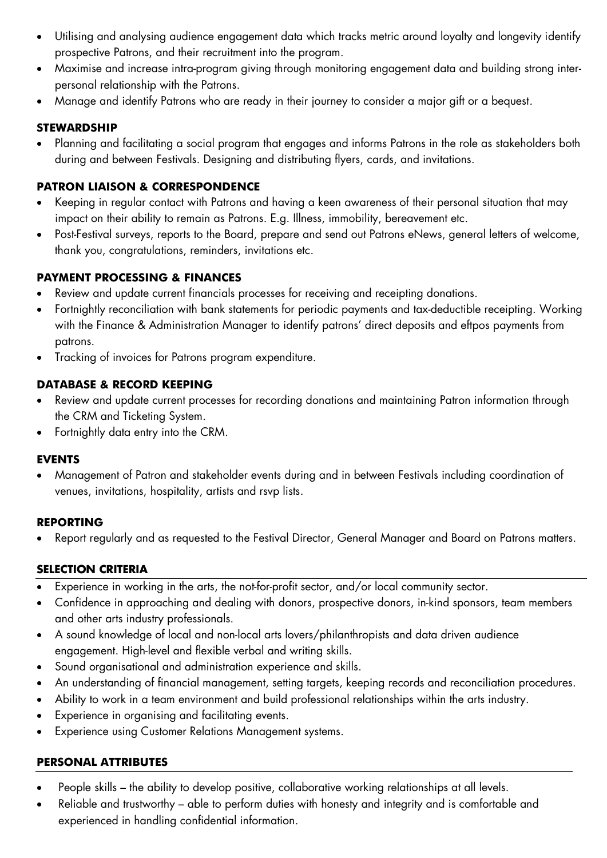- Utilising and analysing audience engagement data which tracks metric around loyalty and longevity identify prospective Patrons, and their recruitment into the program.
- Maximise and increase intra-program giving through monitoring engagement data and building strong interpersonal relationship with the Patrons.
- Manage and identify Patrons who are ready in their journey to consider a major gift or a bequest.

#### **STEWARDSHIP**

• Planning and facilitating a social program that engages and informs Patrons in the role as stakeholders both during and between Festivals. Designing and distributing flyers, cards, and invitations.

# **PATRON LIAISON & CORRESPONDENCE**

- Keeping in regular contact with Patrons and having a keen awareness of their personal situation that may impact on their ability to remain as Patrons. E.g. Illness, immobility, bereavement etc.
- Post-Festival surveys, reports to the Board, prepare and send out Patrons eNews, general letters of welcome, thank you, congratulations, reminders, invitations etc.

# **PAYMENT PROCESSING & FINANCES**

- Review and update current financials processes for receiving and receipting donations.
- Fortnightly reconciliation with bank statements for periodic payments and tax-deductible receipting. Working with the Finance & Administration Manager to identify patrons' direct deposits and eftpos payments from patrons.
- Tracking of invoices for Patrons program expenditure.

# **DATABASE & RECORD KEEPING**

- Review and update current processes for recording donations and maintaining Patron information through the CRM and Ticketing System.
- Fortnightly data entry into the CRM.

# **EVENTS**

• Management of Patron and stakeholder events during and in between Festivals including coordination of venues, invitations, hospitality, artists and rsvp lists.

# **REPORTING**

• Report regularly and as requested to the Festival Director, General Manager and Board on Patrons matters.

# **SELECTION CRITERIA**

- Experience in working in the arts, the not-for-profit sector, and/or local community sector.
- Confidence in approaching and dealing with donors, prospective donors, in-kind sponsors, team members and other arts industry professionals.
- A sound knowledge of local and non-local arts lovers/philanthropists and data driven audience engagement. High-level and flexible verbal and writing skills.
- Sound organisational and administration experience and skills.
- An understanding of financial management, setting targets, keeping records and reconciliation procedures.
- Ability to work in a team environment and build professional relationships within the arts industry.
- Experience in organising and facilitating events.
- Experience using Customer Relations Management systems.

# **PERSONAL ATTRIBUTES**

- People skills the ability to develop positive, collaborative working relationships at all levels.
- Reliable and trustworthy able to perform duties with honesty and integrity and is comfortable and experienced in handling confidential information.